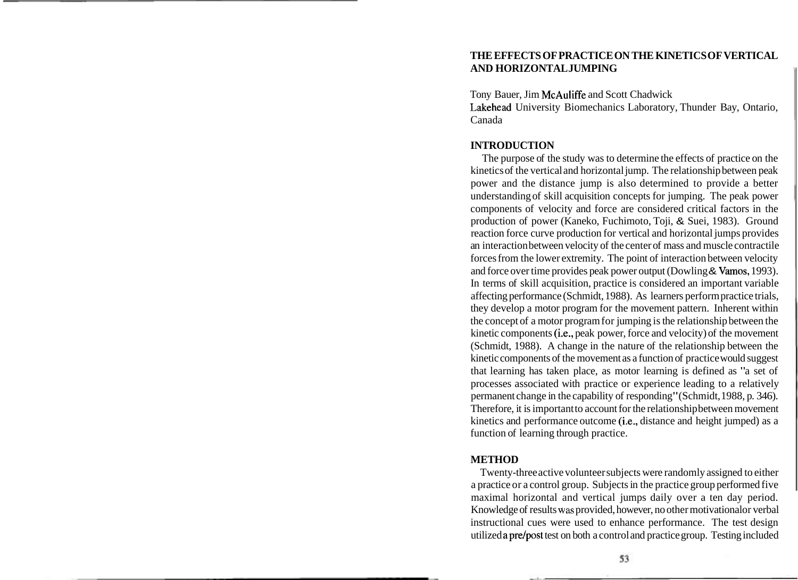# **THE EFFECTS OF PRACTICE ON THE KINETICS OF VERTICAL AND HORIZONTAL JUMPING**

Tony Bauer, Jim McAuliffe and Scott Chadwick

Lakehead University Biomechanics Laboratory, Thunder Bay, Ontario, Canada

# **INTRODUCTION**

The purpose of the study was to determine the effects of practice on the kinetics of the vertical and horizontal jump. The relationship between peak power and the distance jump is also determined to provide a better understanding of skill acquisition concepts for jumping. The peak power components of velocity and force are considered critical factors in the production of power (Kaneko, Fuchimoto, Toji, & Suei, 1983). Ground reaction force curve production for vertical and horizontal jumps provides an interaction between velocity of the center of mass and muscle contractile forces from the lower extremity. The point of interaction between velocity and force over time provides peak power output (Dowling & Vamos, 1993). In terms of skill acquisition, practice is considered an important variable affecting performance (Schmidt, 1988). As learners perform practice trials, they develop a motor program for the movement pattern. Inherent within the concept of a motor program for jumping is the relationship between the kinetic components (i.e., peak power, force and velocity) of the movement (Schmidt, 1988). A change in the nature of the relationship between the kinetic components of the movement as a function of practice would suggest that learning has taken place, as motor learning is defined as "a set of processes associated with practice or experience leading to a relatively permanent change in the capability of responding" (Schmidt, 1988, p. 346). Therefore, it is important to account for the relationship between movement kinetics and performance outcome (i.e., distance and height jumped) as a function of learning through practice.

## **METHOD**

Twenty-three active volunteer subjects were randomly assigned to either a practice or a control group. Subjects in the practice group performed five maximal horizontal and vertical jumps daily over a ten day period. Knowledge of results was provided, however, no other motivational or verbal instructional cues were used to enhance performance. The test design utilized apre/post test on both a control and practice group. Testing included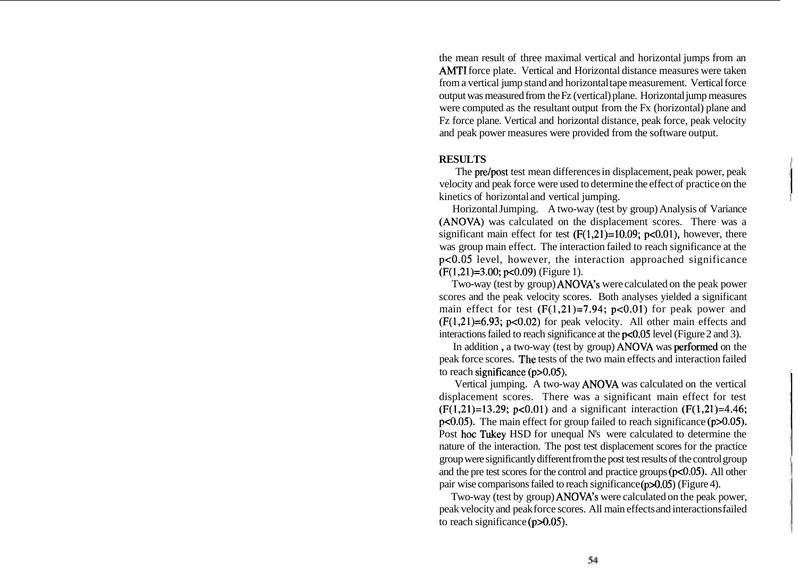the mean result of three maximal vertical and horizontal jumps from an AMTI force plate. Vertical and Horizontal distance measures were taken from a vertical jump stand and horizontal tape measurement. Vertical force output was measured from the Fz (vertical) plane. Horizontal jump measures were computed as the resultant output from the Fx (horizontal) plane and Fz force plane. Vertical and horizontal distance, peak force, peak velocity and peak power measures were provided from the software output.

### **RESULTS**

The pre/post test mean differences in displacement, peak power, peak velocity and peak force were used to determine the effect of practice on the kinetics of horizontal and vertical jumping.

Horizontal Jumping. A two-way (test by group) Analysis of Variance (ANOVA) was calculated on the displacement scores. There was a significant main effect for test  $(F(1,21)=10.09; p<0.01)$ , however, there was group main effect. The interaction failed to reach significance at the  $p<0.05$  level, however, the interaction approached significance  $(F(1,21)=3.00; p<0.09)$  (Figure 1).

Two-way (test by group) ANOVA's were calculated on the peak power scores and the peak velocity scores. Both analyses yielded a significant main effect for test  $(F(1,21)=7.94; p<0.01)$  for peak power and  $(F(1,21)=6.93; p<0.02)$  for peak velocity. All other main effects and interactions failed to reach significance at the  $p<0.05$  level (Figure 2 and 3).

In addition , a two-way (test by group) ANOVA was performed on the peak force scores. The tests of the two main effects and interaction failed to reach significance  $(p>0.05)$ .

Vertical jumping. A two-way ANOVA was calculated on the vertical displacement scores. There was a significant main effect for test  $(F(1,21)=13.29; p<0.01)$  and a significant interaction  $(F(1,21)=4.46;$  $p<0.05$ ). The main effect for group failed to reach significance ( $p>0.05$ ). Post hoc Tukey HSD for unequal N's were calculated to determine the nature of the interaction. The post test displacement scores for the practice group were significantly different from the post test results of the control group and the pre test scores for the control and practice groups  $(p<0.05)$ . All other pair wise comparisons failed to reach significance (p>0.05) (Figure 4).

Two-way (test by group) ANOVA's were calculated on the peak power, peak velocity and peak force scores. All main effects and interactions failed to reach significance (p>0.05).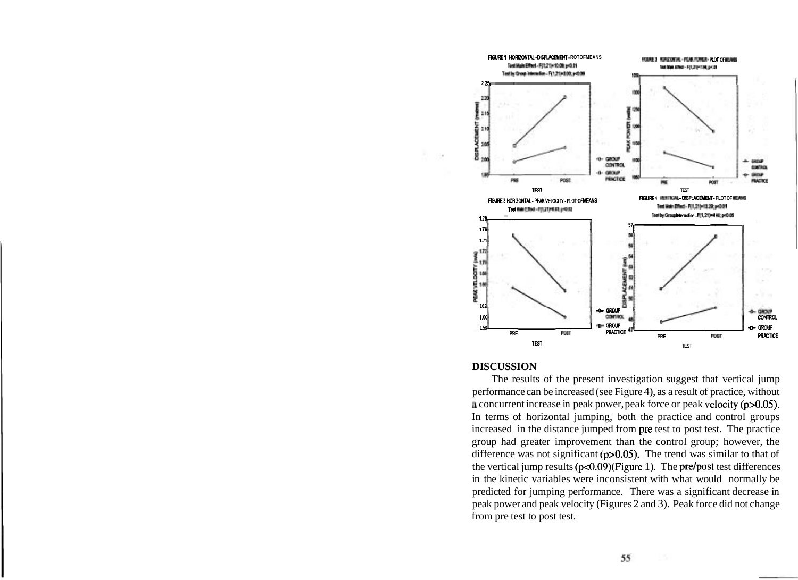

### **DISCUSSION**

The results of the present investigation suggest that vertical jump performance can be increased (see Figure 4), as a result of practice, without **a** concurrent increase in peak power, peak force or peak velocity  $(p>0.05)$ . In terms of horizontal jumping, both the practice and control groups increased in the distance jumped from pre test to post test. The practice group had greater improvement than the control group; however, the difference was not significant  $(p>0.05)$ . The trend was similar to that of the vertical jump results  $(p<0.09)$ (Figure 1). The pre/post test differences in the kinetic variables were inconsistent with what would normally be predicted for jumping performance. There was a significant decrease in peak power and peak velocity (Figures 2 and 3). Peak force did not change from pre test to post test.